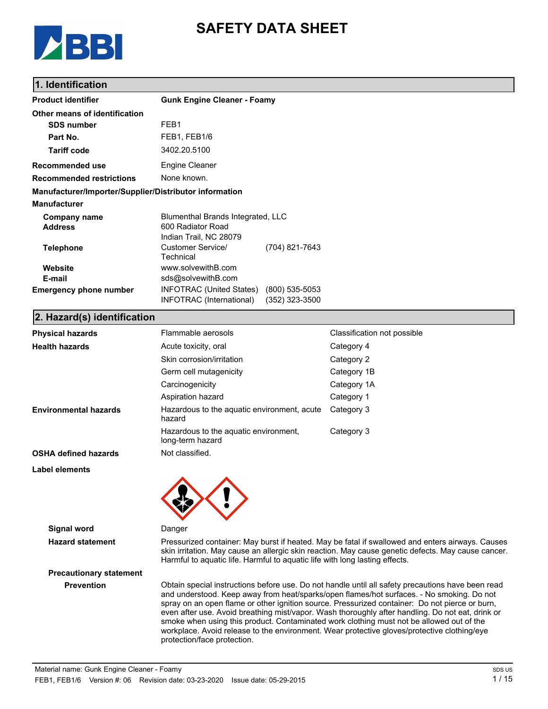

# **SAFETY DATA SHEET**

## **1. Identification**

| <b>Product identifier</b>                              | <b>Gunk Engine Cleaner - Foamy</b>                                               |                                    |
|--------------------------------------------------------|----------------------------------------------------------------------------------|------------------------------------|
| Other means of identification                          |                                                                                  |                                    |
| <b>SDS number</b>                                      | FEB1                                                                             |                                    |
| Part No.                                               | FEB1, FEB1/6                                                                     |                                    |
| <b>Tariff code</b>                                     | 3402.20.5100                                                                     |                                    |
| Recommended use                                        | Engine Cleaner                                                                   |                                    |
| <b>Recommended restrictions</b>                        | None known.                                                                      |                                    |
| Manufacturer/Importer/Supplier/Distributor information |                                                                                  |                                    |
| <b>Manufacturer</b>                                    |                                                                                  |                                    |
| Company name<br><b>Address</b>                         | Blumenthal Brands Integrated, LLC<br>600 Radiator Road<br>Indian Trail, NC 28079 |                                    |
| <b>Telephone</b>                                       | Customer Service/<br>Technical                                                   | (704) 821-7643                     |
| Website<br>E-mail                                      | www.solvewithB.com<br>sds@solvewithB.com                                         |                                    |
| <b>Emergency phone number</b>                          | <b>INFOTRAC (United States)</b><br>INFOTRAC (International)                      | $(800)$ 535-5053<br>(352) 323-3500 |

#### **2. Hazard(s) identification**

| <b>Physical hazards</b>        | Flammable aerosols                                                                                                                                                                      | Classification not possible                                                                                                                                                                                                                                                                                                                                                                          |
|--------------------------------|-----------------------------------------------------------------------------------------------------------------------------------------------------------------------------------------|------------------------------------------------------------------------------------------------------------------------------------------------------------------------------------------------------------------------------------------------------------------------------------------------------------------------------------------------------------------------------------------------------|
| <b>Health hazards</b>          | Acute toxicity, oral                                                                                                                                                                    | Category 4                                                                                                                                                                                                                                                                                                                                                                                           |
|                                | Skin corrosion/irritation                                                                                                                                                               | Category 2                                                                                                                                                                                                                                                                                                                                                                                           |
|                                | Germ cell mutagenicity                                                                                                                                                                  | Category 1B                                                                                                                                                                                                                                                                                                                                                                                          |
|                                | Carcinogenicity                                                                                                                                                                         | Category 1A                                                                                                                                                                                                                                                                                                                                                                                          |
|                                | Aspiration hazard                                                                                                                                                                       | Category 1                                                                                                                                                                                                                                                                                                                                                                                           |
| <b>Environmental hazards</b>   | Hazardous to the aquatic environment, acute<br>hazard                                                                                                                                   | Category 3                                                                                                                                                                                                                                                                                                                                                                                           |
|                                | Hazardous to the aquatic environment,<br>long-term hazard                                                                                                                               | Category 3                                                                                                                                                                                                                                                                                                                                                                                           |
| <b>OSHA defined hazards</b>    | Not classified.                                                                                                                                                                         |                                                                                                                                                                                                                                                                                                                                                                                                      |
| <b>Label elements</b>          |                                                                                                                                                                                         |                                                                                                                                                                                                                                                                                                                                                                                                      |
| <b>Signal word</b>             | Danger                                                                                                                                                                                  |                                                                                                                                                                                                                                                                                                                                                                                                      |
| <b>Hazard statement</b>        | Harmful to aquatic life. Harmful to aquatic life with long lasting effects.                                                                                                             | Pressurized container: May burst if heated. May be fatal if swallowed and enters airways. Causes<br>skin irritation. May cause an allergic skin reaction. May cause genetic defects. May cause cancer.                                                                                                                                                                                               |
| <b>Precautionary statement</b> |                                                                                                                                                                                         |                                                                                                                                                                                                                                                                                                                                                                                                      |
| <b>Prevention</b>              | smoke when using this product. Contaminated work clothing must not be allowed out of the<br>workplace. Avoid release to the environment. Wear protective gloves/protective clothing/eye | Obtain special instructions before use. Do not handle until all safety precautions have been read<br>and understood. Keep away from heat/sparks/open flames/hot surfaces. - No smoking. Do not<br>spray on an open flame or other ignition source. Pressurized container: Do not pierce or burn,<br>even after use. Avoid breathing mist/vapor. Wash thoroughly after handling. Do not eat, drink or |

protection/face protection.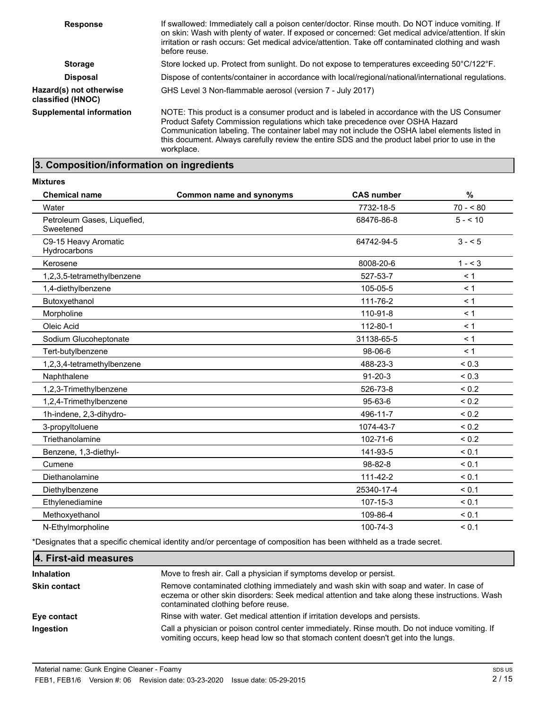| <b>Response</b>                              | If swallowed: Immediately call a poison center/doctor. Rinse mouth. Do NOT induce vomiting. If<br>on skin: Wash with plenty of water. If exposed or concerned: Get medical advice/attention. If skin<br>irritation or rash occurs: Get medical advice/attention. Take off contaminated clothing and wash<br>before reuse.                                                                    |
|----------------------------------------------|----------------------------------------------------------------------------------------------------------------------------------------------------------------------------------------------------------------------------------------------------------------------------------------------------------------------------------------------------------------------------------------------|
| <b>Storage</b>                               | Store locked up. Protect from sunlight. Do not expose to temperatures exceeding 50°C/122°F.                                                                                                                                                                                                                                                                                                  |
| <b>Disposal</b>                              | Dispose of contents/container in accordance with local/regional/national/international regulations.                                                                                                                                                                                                                                                                                          |
| Hazard(s) not otherwise<br>classified (HNOC) | GHS Level 3 Non-flammable aerosol (version 7 - July 2017)                                                                                                                                                                                                                                                                                                                                    |
| <b>Supplemental information</b>              | NOTE: This product is a consumer product and is labeled in accordance with the US Consumer<br>Product Safety Commission regulations which take precedence over OSHA Hazard<br>Communication labeling. The container label may not include the OSHA label elements listed in<br>this document. Always carefully review the entire SDS and the product label prior to use in the<br>workplace. |

# **3. Composition/information on ingredients**

| <b>Mixtures</b>                          |                          |                   |            |
|------------------------------------------|--------------------------|-------------------|------------|
| <b>Chemical name</b>                     | Common name and synonyms | <b>CAS number</b> | $\%$       |
| Water                                    |                          | 7732-18-5         | $70 - 80$  |
| Petroleum Gases, Liquefied,<br>Sweetened |                          | 68476-86-8        | $5 - 10$   |
| C9-15 Heavy Aromatic<br>Hydrocarbons     |                          | 64742-94-5        | $3 - 5$    |
| Kerosene                                 |                          | 8008-20-6         | $1 - 3$    |
| 1,2,3,5-tetramethylbenzene               |                          | 527-53-7          | < 1        |
| 1,4-diethylbenzene                       |                          | 105-05-5          | < 1        |
| Butoxyethanol                            |                          | 111-76-2          | < 1        |
| Morpholine                               |                          | 110-91-8          | < 1        |
| Oleic Acid                               |                          | 112-80-1          | < 1        |
| Sodium Glucoheptonate                    |                          | 31138-65-5        | < 1        |
| Tert-butylbenzene                        |                          | 98-06-6           | < 1        |
| 1,2,3,4-tetramethylbenzene               |                          | 488-23-3          | ${}_{0.3}$ |
| Naphthalene                              |                          | $91 - 20 - 3$     | ${}_{0.3}$ |
| 1,2,3-Trimethylbenzene                   |                          | 526-73-8          | ${}_{0.2}$ |
| 1,2,4-Trimethylbenzene                   |                          | 95-63-6           | ${}_{0.2}$ |
| 1h-indene, 2,3-dihydro-                  |                          | 496-11-7          | ${}_{0.2}$ |
| 3-propyltoluene                          |                          | 1074-43-7         | ${}_{0.2}$ |
| Triethanolamine                          |                          | 102-71-6          | ${}_{0.2}$ |
| Benzene, 1,3-diethyl-                    |                          | 141-93-5          | < 0.1      |
| Cumene                                   |                          | $98 - 82 - 8$     | < 0.1      |
| Diethanolamine                           |                          | 111-42-2          | < 0.1      |
| Diethylbenzene                           |                          | 25340-17-4        | < 0.1      |
| Ethylenediamine                          |                          | 107-15-3          | ${}_{0.1}$ |
| Methoxyethanol                           |                          | 109-86-4          | < 0.1      |
| N-Ethylmorpholine                        |                          | 100-74-3          | < 0.1      |

\*Designates that a specific chemical identity and/or percentage of composition has been withheld as a trade secret.

| 4. First-aid measures |                                                                                                                                                                                                                                 |
|-----------------------|---------------------------------------------------------------------------------------------------------------------------------------------------------------------------------------------------------------------------------|
| <b>Inhalation</b>     | Move to fresh air. Call a physician if symptoms develop or persist.                                                                                                                                                             |
| <b>Skin contact</b>   | Remove contaminated clothing immediately and wash skin with soap and water. In case of<br>eczema or other skin disorders: Seek medical attention and take along these instructions. Wash<br>contaminated clothing before reuse. |
| Eye contact           | Rinse with water. Get medical attention if irritation develops and persists.                                                                                                                                                    |
| Ingestion             | Call a physician or poison control center immediately. Rinse mouth. Do not induce vomiting. If<br>vomiting occurs, keep head low so that stomach content doesn't get into the lungs.                                            |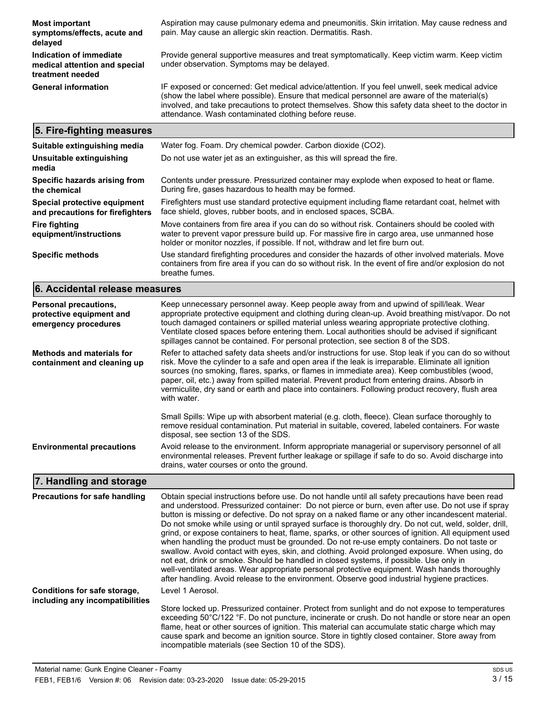| <b>Most important</b><br>symptoms/effects, acute and<br>delayed              | Aspiration may cause pulmonary edema and pneumonitis. Skin irritation. May cause redness and<br>pain. May cause an allergic skin reaction. Dermatitis. Rash.                                                                                                                                                                                                |
|------------------------------------------------------------------------------|-------------------------------------------------------------------------------------------------------------------------------------------------------------------------------------------------------------------------------------------------------------------------------------------------------------------------------------------------------------|
| Indication of immediate<br>medical attention and special<br>treatment needed | Provide general supportive measures and treat symptomatically. Keep victim warm. Keep victim<br>under observation. Symptoms may be delayed.                                                                                                                                                                                                                 |
| <b>General information</b>                                                   | IF exposed or concerned: Get medical advice/attention. If you feel unwell, seek medical advice<br>(show the label where possible). Ensure that medical personnel are aware of the material(s)<br>involved, and take precautions to protect themselves. Show this safety data sheet to the doctor in<br>attendance. Wash contaminated clothing before reuse. |
| 5. Fire-fighting measures                                                    |                                                                                                                                                                                                                                                                                                                                                             |
| Suitable extinguishing media                                                 | Water fog. Foam. Dry chemical powder. Carbon dioxide (CO2).                                                                                                                                                                                                                                                                                                 |
| Unsuitable extinguishing<br>                                                 | Do not use water jet as an extinguisher, as this will spread the fire.                                                                                                                                                                                                                                                                                      |

| megia                                                            |                                                                                                                                                                                                                                                                                  |
|------------------------------------------------------------------|----------------------------------------------------------------------------------------------------------------------------------------------------------------------------------------------------------------------------------------------------------------------------------|
| Specific hazards arising from<br>the chemical                    | Contents under pressure. Pressurized container may explode when exposed to heat or flame.<br>During fire, gases hazardous to health may be formed.                                                                                                                               |
| Special protective equipment<br>and precautions for firefighters | Firefighters must use standard protective equipment including flame retardant coat, helmet with<br>face shield, gloves, rubber boots, and in enclosed spaces, SCBA.                                                                                                              |
| Fire fighting<br>equipment/instructions                          | Move containers from fire area if you can do so without risk. Containers should be cooled with<br>water to prevent vapor pressure build up. For massive fire in cargo area, use unmanned hose<br>holder or monitor nozzles, if possible. If not, withdraw and let fire burn out. |
| <b>Specific methods</b>                                          | Use standard firefighting procedures and consider the hazards of other involved materials. Move                                                                                                                                                                                  |

containers from fire area if you can do so without risk. In the event of fire and/or explosion do not breathe fumes. **6. Accidental release measures**

| Personal precautions,<br>protective equipment and<br>emergency procedures | Keep unnecessary personnel away. Keep people away from and upwind of spill/leak. Wear<br>appropriate protective equipment and clothing during clean-up. Avoid breathing mist/vapor. Do not<br>touch damaged containers or spilled material unless wearing appropriate protective clothing.<br>Ventilate closed spaces before entering them. Local authorities should be advised if significant<br>spillages cannot be contained. For personal protection, see section 8 of the SDS.                                           |
|---------------------------------------------------------------------------|-------------------------------------------------------------------------------------------------------------------------------------------------------------------------------------------------------------------------------------------------------------------------------------------------------------------------------------------------------------------------------------------------------------------------------------------------------------------------------------------------------------------------------|
| <b>Methods and materials for</b><br>containment and cleaning up           | Refer to attached safety data sheets and/or instructions for use. Stop leak if you can do so without<br>risk. Move the cylinder to a safe and open area if the leak is irreparable. Eliminate all ignition<br>sources (no smoking, flares, sparks, or flames in immediate area). Keep combustibles (wood,<br>paper, oil, etc.) away from spilled material. Prevent product from entering drains. Absorb in<br>vermiculite, dry sand or earth and place into containers. Following product recovery, flush area<br>with water. |
|                                                                           | Small Spills: Wipe up with absorbent material (e.g. cloth, fleece). Clean surface thoroughly to<br>remove residual contamination. Put material in suitable, covered, labeled containers. For waste<br>disposal, see section 13 of the SDS.                                                                                                                                                                                                                                                                                    |
| <b>Environmental precautions</b>                                          | Avoid release to the environment. Inform appropriate managerial or supervisory personnel of all<br>environmental releases. Prevent further leakage or spillage if safe to do so. Avoid discharge into<br>drains, water courses or onto the ground.                                                                                                                                                                                                                                                                            |

# **7. Handling and storage**

| <b>Precautions for safe handling</b>                            | Obtain special instructions before use. Do not handle until all safety precautions have been read<br>and understood. Pressurized container: Do not pierce or burn, even after use. Do not use if spray<br>button is missing or defective. Do not spray on a naked flame or any other incandescent material.<br>Do not smoke while using or until sprayed surface is thoroughly dry. Do not cut, weld, solder, drill,<br>grind, or expose containers to heat, flame, sparks, or other sources of ignition. All equipment used<br>when handling the product must be grounded. Do not re-use empty containers. Do not taste or<br>swallow. Avoid contact with eyes, skin, and clothing. Avoid prolonged exposure. When using, do<br>not eat, drink or smoke. Should be handled in closed systems, if possible. Use only in<br>well-ventilated areas. Wear appropriate personal protective equipment. Wash hands thoroughly<br>after handling. Avoid release to the environment. Observe good industrial hygiene practices. |
|-----------------------------------------------------------------|-------------------------------------------------------------------------------------------------------------------------------------------------------------------------------------------------------------------------------------------------------------------------------------------------------------------------------------------------------------------------------------------------------------------------------------------------------------------------------------------------------------------------------------------------------------------------------------------------------------------------------------------------------------------------------------------------------------------------------------------------------------------------------------------------------------------------------------------------------------------------------------------------------------------------------------------------------------------------------------------------------------------------|
| Conditions for safe storage,<br>including any incompatibilities | Level 1 Aerosol.                                                                                                                                                                                                                                                                                                                                                                                                                                                                                                                                                                                                                                                                                                                                                                                                                                                                                                                                                                                                        |
|                                                                 | Store locked up. Pressurized container. Protect from sunlight and do not expose to temperatures<br>exceeding 50°C/122 °F. Do not puncture, incinerate or crush. Do not handle or store near an open<br>flame, heat or other sources of ignition. This material can accumulate static charge which may<br>cause spark and become an ignition source. Store in tightly closed container. Store away from<br>incompatible materials (see Section 10 of the SDS).                                                                                                                                                                                                                                                                                                                                                                                                                                                                                                                                                           |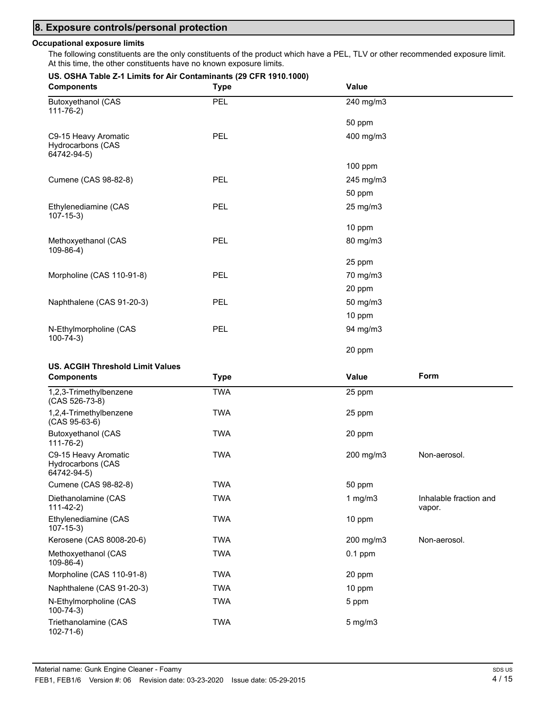### **8. Exposure controls/personal protection**

#### **Occupational exposure limits**

The following constituents are the only constituents of the product which have a PEL, TLV or other recommended exposure limit. At this time, the other constituents have no known exposure limits.

#### **US. OSHA Table Z-1 Limits for Air Contaminants (29 CFR 1910.1000)**

| <b>Components</b>                                               | <b>Type</b> | Value     |  |
|-----------------------------------------------------------------|-------------|-----------|--|
| <b>Butoxyethanol (CAS</b><br>$111 - 76 - 2)$                    | PEL         | 240 mg/m3 |  |
|                                                                 |             | 50 ppm    |  |
| C9-15 Heavy Aromatic<br><b>Hydrocarbons (CAS</b><br>64742-94-5) | <b>PEL</b>  | 400 mg/m3 |  |
|                                                                 |             | $100$ ppm |  |
| Cumene (CAS 98-82-8)                                            | <b>PEL</b>  | 245 mg/m3 |  |
|                                                                 |             | 50 ppm    |  |
| Ethylenediamine (CAS<br>$107 - 15 - 3$                          | <b>PEL</b>  | 25 mg/m3  |  |
|                                                                 |             | 10 ppm    |  |
| Methoxyethanol (CAS<br>$109-86-4)$                              | <b>PEL</b>  | 80 mg/m3  |  |
|                                                                 |             | 25 ppm    |  |
| Morpholine (CAS 110-91-8)                                       | <b>PEL</b>  | 70 mg/m3  |  |
|                                                                 |             | 20 ppm    |  |
| Naphthalene (CAS 91-20-3)                                       | <b>PEL</b>  | 50 mg/m3  |  |
|                                                                 |             | 10 ppm    |  |
| N-Ethylmorpholine (CAS<br>$100 - 74 - 3$                        | <b>PEL</b>  | 94 mg/m3  |  |
|                                                                 |             | 20 ppm    |  |

#### **US. ACGIH Threshold Limit Values**

| <b>Components</b>                                               | <b>Type</b> | Value        | Form                             |
|-----------------------------------------------------------------|-------------|--------------|----------------------------------|
| 1,2,3-Trimethylbenzene<br>(CAS 526-73-8)                        | <b>TWA</b>  | 25 ppm       |                                  |
| 1,2,4-Trimethylbenzene<br>$(CAS 95-63-6)$                       | <b>TWA</b>  | 25 ppm       |                                  |
| <b>Butoxyethanol (CAS</b><br>$111 - 76 - 2)$                    | <b>TWA</b>  | 20 ppm       |                                  |
| C9-15 Heavy Aromatic<br><b>Hydrocarbons (CAS</b><br>64742-94-5) | <b>TWA</b>  | 200 mg/m3    | Non-aerosol.                     |
| Cumene (CAS 98-82-8)                                            | TWA         | 50 ppm       |                                  |
| Diethanolamine (CAS<br>$111 - 42 - 2)$                          | TWA         | 1 $mg/m3$    | Inhalable fraction and<br>vapor. |
| Ethylenediamine (CAS<br>$107 - 15 - 3$                          | TWA         | 10 ppm       |                                  |
| Kerosene (CAS 8008-20-6)                                        | TWA         | 200 mg/m3    | Non-aerosol.                     |
| Methoxyethanol (CAS<br>$109-86-4)$                              | TWA         | $0.1$ ppm    |                                  |
| Morpholine (CAS 110-91-8)                                       | TWA         | 20 ppm       |                                  |
| Naphthalene (CAS 91-20-3)                                       | TWA         | 10 ppm       |                                  |
| N-Ethylmorpholine (CAS<br>$100 - 74 - 3$                        | TWA         | 5 ppm        |                                  |
| Triethanolamine (CAS<br>$102 - 71 - 6$                          | TWA         | $5$ mg/m $3$ |                                  |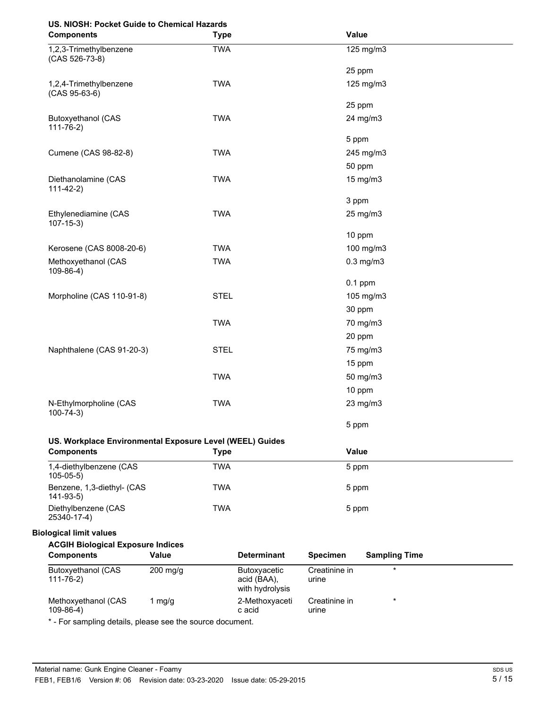## **US. NIOSH: Pocket Guide to Chemical Hazards**

| <b>Components</b>                                             | <b>Type</b>  |                                                | Value                  |                      |
|---------------------------------------------------------------|--------------|------------------------------------------------|------------------------|----------------------|
| 1,2,3-Trimethylbenzene<br>(CAS 526-73-8)                      | <b>TWA</b>   |                                                |                        | 125 mg/m3            |
|                                                               |              |                                                |                        | 25 ppm               |
| 1,2,4-Trimethylbenzene<br>$(CAS 95-63-6)$                     | <b>TWA</b>   |                                                |                        | 125 mg/m3            |
|                                                               |              |                                                |                        | 25 ppm               |
| <b>Butoxyethanol (CAS</b><br>$111 - 76 - 2$                   | <b>TWA</b>   |                                                |                        | 24 mg/m3             |
|                                                               |              |                                                | 5 ppm                  |                      |
| Cumene (CAS 98-82-8)                                          | <b>TWA</b>   |                                                |                        | 245 mg/m3            |
|                                                               |              |                                                |                        | 50 ppm               |
| Diethanolamine (CAS<br>$111-42-2)$                            | <b>TWA</b>   |                                                |                        | 15 mg/m3             |
|                                                               |              |                                                | 3 ppm                  |                      |
| Ethylenediamine (CAS<br>$107 - 15 - 3$                        | <b>TWA</b>   |                                                |                        | 25 mg/m3             |
|                                                               |              |                                                |                        | 10 ppm               |
| Kerosene (CAS 8008-20-6)                                      | <b>TWA</b>   |                                                |                        | 100 mg/m3            |
| Methoxyethanol (CAS<br>$109-86-4)$                            | <b>TWA</b>   |                                                |                        | $0.3$ mg/m $3$       |
|                                                               |              |                                                |                        | $0.1$ ppm            |
| Morpholine (CAS 110-91-8)                                     | <b>STEL</b>  |                                                |                        | 105 mg/m3            |
|                                                               |              |                                                |                        | 30 ppm               |
|                                                               | <b>TWA</b>   |                                                |                        | 70 mg/m3             |
|                                                               |              |                                                |                        | 20 ppm               |
| Naphthalene (CAS 91-20-3)                                     | <b>STEL</b>  |                                                |                        | 75 mg/m3             |
|                                                               |              |                                                |                        | 15 ppm               |
|                                                               | <b>TWA</b>   |                                                |                        | 50 mg/m3             |
|                                                               |              |                                                |                        | 10 ppm               |
| N-Ethylmorpholine (CAS<br>$100 - 74 - 3$                      | <b>TWA</b>   |                                                |                        | 23 mg/m3             |
|                                                               |              |                                                | 5 ppm                  |                      |
| US. Workplace Environmental Exposure Level (WEEL) Guides      |              |                                                |                        |                      |
| <b>Components</b>                                             | <b>Type</b>  |                                                | Value                  |                      |
| 1,4-diethylbenzene (CAS<br>$105 - 05 - 5$                     | <b>TWA</b>   |                                                | 5 ppm                  |                      |
| Benzene, 1,3-diethyl- (CAS<br>$141-93-5$                      | <b>TWA</b>   |                                                | 5 ppm                  |                      |
| Diethylbenzene (CAS<br>25340-17-4)                            | <b>TWA</b>   |                                                | 5 ppm                  |                      |
| <b>Biological limit values</b>                                |              |                                                |                        |                      |
| <b>ACGIH Biological Exposure Indices</b><br><b>Components</b> | <b>Value</b> | <b>Determinant</b>                             | <b>Specimen</b>        | <b>Sampling Time</b> |
| <b>Butoxyethanol (CAS</b><br>$111 - 76 - 2$                   | 200 mg/g     | Butoxyacetic<br>acid (BAA),<br>with hydrolysis | Creatinine in<br>urine | $\star$              |
| Methoxyethanol (CAS<br>$109-86-4)$                            | $1$ mg/g     | 2-Methoxyaceti<br>c acid                       | Creatinine in<br>urine | $^\star$             |

\* - For sampling details, please see the source document.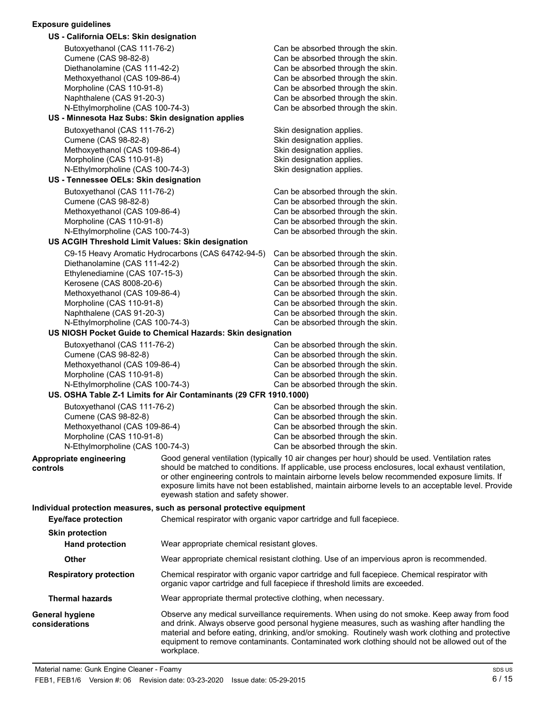### **Exposure guidelines**

| US - California OELs: Skin designation                                |                                                                   |                                                                                                                                                                                                                                                                                                                                                                                                   |
|-----------------------------------------------------------------------|-------------------------------------------------------------------|---------------------------------------------------------------------------------------------------------------------------------------------------------------------------------------------------------------------------------------------------------------------------------------------------------------------------------------------------------------------------------------------------|
| Butoxyethanol (CAS 111-76-2)                                          |                                                                   | Can be absorbed through the skin.                                                                                                                                                                                                                                                                                                                                                                 |
| Cumene (CAS 98-82-8)                                                  |                                                                   | Can be absorbed through the skin.                                                                                                                                                                                                                                                                                                                                                                 |
| Diethanolamine (CAS 111-42-2)                                         |                                                                   | Can be absorbed through the skin.                                                                                                                                                                                                                                                                                                                                                                 |
| Methoxyethanol (CAS 109-86-4)                                         |                                                                   | Can be absorbed through the skin.                                                                                                                                                                                                                                                                                                                                                                 |
| Morpholine (CAS 110-91-8)                                             |                                                                   | Can be absorbed through the skin.                                                                                                                                                                                                                                                                                                                                                                 |
| Naphthalene (CAS 91-20-3)                                             |                                                                   | Can be absorbed through the skin.                                                                                                                                                                                                                                                                                                                                                                 |
| N-Ethylmorpholine (CAS 100-74-3)                                      |                                                                   | Can be absorbed through the skin.                                                                                                                                                                                                                                                                                                                                                                 |
| US - Minnesota Haz Subs: Skin designation applies                     |                                                                   |                                                                                                                                                                                                                                                                                                                                                                                                   |
| Butoxyethanol (CAS 111-76-2)                                          |                                                                   | Skin designation applies.                                                                                                                                                                                                                                                                                                                                                                         |
| Cumene (CAS 98-82-8)                                                  |                                                                   | Skin designation applies.                                                                                                                                                                                                                                                                                                                                                                         |
| Methoxyethanol (CAS 109-86-4)                                         |                                                                   | Skin designation applies.                                                                                                                                                                                                                                                                                                                                                                         |
| Morpholine (CAS 110-91-8)                                             |                                                                   | Skin designation applies.                                                                                                                                                                                                                                                                                                                                                                         |
| N-Ethylmorpholine (CAS 100-74-3)                                      |                                                                   | Skin designation applies.                                                                                                                                                                                                                                                                                                                                                                         |
| US - Tennessee OELs: Skin designation                                 |                                                                   |                                                                                                                                                                                                                                                                                                                                                                                                   |
| Butoxyethanol (CAS 111-76-2)                                          |                                                                   | Can be absorbed through the skin.                                                                                                                                                                                                                                                                                                                                                                 |
| Cumene (CAS 98-82-8)                                                  |                                                                   | Can be absorbed through the skin.                                                                                                                                                                                                                                                                                                                                                                 |
| Methoxyethanol (CAS 109-86-4)                                         |                                                                   | Can be absorbed through the skin.                                                                                                                                                                                                                                                                                                                                                                 |
| Morpholine (CAS 110-91-8)                                             |                                                                   | Can be absorbed through the skin.                                                                                                                                                                                                                                                                                                                                                                 |
| N-Ethylmorpholine (CAS 100-74-3)                                      |                                                                   | Can be absorbed through the skin.                                                                                                                                                                                                                                                                                                                                                                 |
| US ACGIH Threshold Limit Values: Skin designation                     |                                                                   |                                                                                                                                                                                                                                                                                                                                                                                                   |
|                                                                       | C9-15 Heavy Aromatic Hydrocarbons (CAS 64742-94-5)                | Can be absorbed through the skin.                                                                                                                                                                                                                                                                                                                                                                 |
| Diethanolamine (CAS 111-42-2)                                         |                                                                   | Can be absorbed through the skin.                                                                                                                                                                                                                                                                                                                                                                 |
| Ethylenediamine (CAS 107-15-3)                                        |                                                                   | Can be absorbed through the skin.                                                                                                                                                                                                                                                                                                                                                                 |
| Kerosene (CAS 8008-20-6)                                              |                                                                   | Can be absorbed through the skin.                                                                                                                                                                                                                                                                                                                                                                 |
| Methoxyethanol (CAS 109-86-4)                                         |                                                                   | Can be absorbed through the skin.                                                                                                                                                                                                                                                                                                                                                                 |
| Morpholine (CAS 110-91-8)                                             |                                                                   | Can be absorbed through the skin.                                                                                                                                                                                                                                                                                                                                                                 |
| Naphthalene (CAS 91-20-3)                                             |                                                                   | Can be absorbed through the skin.                                                                                                                                                                                                                                                                                                                                                                 |
| N-Ethylmorpholine (CAS 100-74-3)                                      | US NIOSH Pocket Guide to Chemical Hazards: Skin designation       | Can be absorbed through the skin.                                                                                                                                                                                                                                                                                                                                                                 |
|                                                                       |                                                                   |                                                                                                                                                                                                                                                                                                                                                                                                   |
| Butoxyethanol (CAS 111-76-2)                                          |                                                                   | Can be absorbed through the skin.                                                                                                                                                                                                                                                                                                                                                                 |
| Cumene (CAS 98-82-8)                                                  |                                                                   | Can be absorbed through the skin.                                                                                                                                                                                                                                                                                                                                                                 |
| Methoxyethanol (CAS 109-86-4)                                         |                                                                   | Can be absorbed through the skin.                                                                                                                                                                                                                                                                                                                                                                 |
| Morpholine (CAS 110-91-8)<br>N-Ethylmorpholine (CAS 100-74-3)         |                                                                   | Can be absorbed through the skin.<br>Can be absorbed through the skin.                                                                                                                                                                                                                                                                                                                            |
|                                                                       | US. OSHA Table Z-1 Limits for Air Contaminants (29 CFR 1910.1000) |                                                                                                                                                                                                                                                                                                                                                                                                   |
|                                                                       |                                                                   |                                                                                                                                                                                                                                                                                                                                                                                                   |
| Butoxyethanol (CAS 111-76-2)<br>Cumene (CAS 98-82-8)                  |                                                                   | Can be absorbed through the skin.<br>Can be absorbed through the skin.                                                                                                                                                                                                                                                                                                                            |
| Methoxyethanol (CAS 109-86-4)                                         |                                                                   | Can be absorbed through the skin.                                                                                                                                                                                                                                                                                                                                                                 |
| Morpholine (CAS 110-91-8)                                             |                                                                   | Can be absorbed through the skin.                                                                                                                                                                                                                                                                                                                                                                 |
| N-Ethylmorpholine (CAS 100-74-3)                                      |                                                                   | Can be absorbed through the skin.                                                                                                                                                                                                                                                                                                                                                                 |
| Appropriate engineering                                               |                                                                   | Good general ventilation (typically 10 air changes per hour) should be used. Ventilation rates                                                                                                                                                                                                                                                                                                    |
| controls                                                              | eyewash station and safety shower.                                | should be matched to conditions. If applicable, use process enclosures, local exhaust ventilation,<br>or other engineering controls to maintain airborne levels below recommended exposure limits. If<br>exposure limits have not been established, maintain airborne levels to an acceptable level. Provide                                                                                      |
| Individual protection measures, such as personal protective equipment |                                                                   |                                                                                                                                                                                                                                                                                                                                                                                                   |
| <b>Eye/face protection</b>                                            |                                                                   | Chemical respirator with organic vapor cartridge and full facepiece.                                                                                                                                                                                                                                                                                                                              |
| <b>Skin protection</b>                                                |                                                                   |                                                                                                                                                                                                                                                                                                                                                                                                   |
|                                                                       | Wear appropriate chemical resistant gloves.                       |                                                                                                                                                                                                                                                                                                                                                                                                   |
| <b>Hand protection</b>                                                |                                                                   |                                                                                                                                                                                                                                                                                                                                                                                                   |
| Other                                                                 |                                                                   | Wear appropriate chemical resistant clothing. Use of an impervious apron is recommended.                                                                                                                                                                                                                                                                                                          |
| <b>Respiratory protection</b>                                         |                                                                   | Chemical respirator with organic vapor cartridge and full facepiece. Chemical respirator with<br>organic vapor cartridge and full facepiece if threshold limits are exceeded.                                                                                                                                                                                                                     |
| <b>Thermal hazards</b>                                                |                                                                   | Wear appropriate thermal protective clothing, when necessary.                                                                                                                                                                                                                                                                                                                                     |
| <b>General hygiene</b><br>considerations                              |                                                                   | Observe any medical surveillance requirements. When using do not smoke. Keep away from food<br>and drink. Always observe good personal hygiene measures, such as washing after handling the<br>material and before eating, drinking, and/or smoking. Routinely wash work clothing and protective<br>equipment to remove contaminants. Contaminated work clothing should not be allowed out of the |

workplace.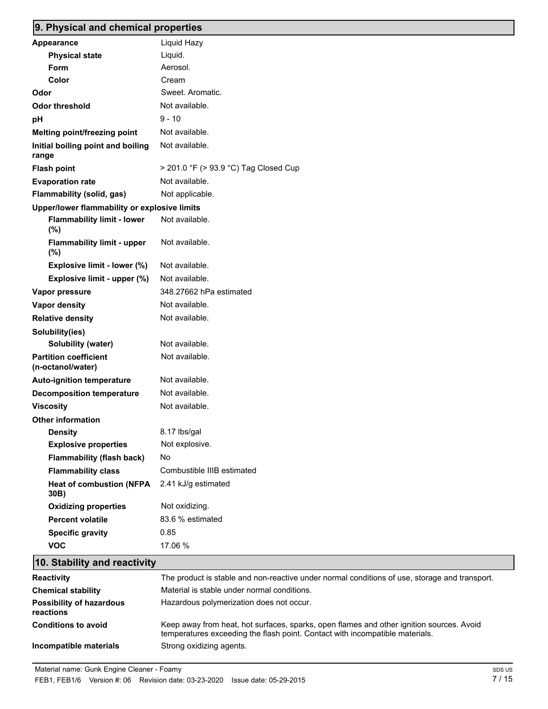# **9. Physical and chemical properties**

| <b>Appearance</b>                                 | Liquid Hazy                           |
|---------------------------------------------------|---------------------------------------|
| <b>Physical state</b>                             | Liquid.                               |
| Form                                              | Aerosol.                              |
| Color                                             | Cream                                 |
| Odor                                              | Sweet, Aromatic.                      |
| <b>Odor threshold</b>                             | Not available.                        |
| pH                                                | $9 - 10$                              |
| Melting point/freezing point                      | Not available.                        |
| Initial boiling point and boiling<br>range        | Not available.                        |
| <b>Flash point</b>                                | > 201.0 °F (> 93.9 °C) Tag Closed Cup |
| <b>Evaporation rate</b>                           | Not available.                        |
| Flammability (solid, gas)                         | Not applicable.                       |
| Upper/lower flammability or explosive limits      |                                       |
| <b>Flammability limit - lower</b><br>(%)          | Not available.                        |
| <b>Flammability limit - upper</b><br>$(\%)$       | Not available.                        |
| Explosive limit - lower (%)                       | Not available.                        |
| Explosive limit - upper (%)                       | Not available.                        |
| Vapor pressure                                    | 348.27662 hPa estimated               |
| Vapor density                                     | Not available.                        |
| <b>Relative density</b>                           | Not available.                        |
| Solubility(ies)                                   |                                       |
| Solubility (water)                                | Not available.                        |
| <b>Partition coefficient</b><br>(n-octanol/water) | Not available.                        |
| <b>Auto-ignition temperature</b>                  | Not available.                        |
| <b>Decomposition temperature</b>                  | Not available.                        |
| <b>Viscosity</b>                                  | Not available.                        |
| <b>Other information</b>                          |                                       |
| <b>Density</b>                                    | 8.17 lbs/gal                          |
| <b>Explosive properties</b>                       | Not explosive.                        |
| <b>Flammability (flash back)</b>                  | No                                    |
| <b>Flammability class</b>                         | Combustible IIIB estimated            |
| <b>Heat of combustion (NFPA</b><br>30B)           | 2.41 kJ/g estimated                   |
| <b>Oxidizing properties</b>                       | Not oxidizing.                        |
| <b>Percent volatile</b>                           | 83.6 % estimated                      |
| <b>Specific gravity</b>                           | 0.85                                  |
| <b>VOC</b>                                        | 17.06 %                               |
|                                                   |                                       |

# **10. Stability and reactivity**

| Reactivity                                   | The product is stable and non-reactive under normal conditions of use, storage and transport.                                                                            |
|----------------------------------------------|--------------------------------------------------------------------------------------------------------------------------------------------------------------------------|
| <b>Chemical stability</b>                    | Material is stable under normal conditions.                                                                                                                              |
| <b>Possibility of hazardous</b><br>reactions | Hazardous polymerization does not occur.                                                                                                                                 |
| <b>Conditions to avoid</b>                   | Keep away from heat, hot surfaces, sparks, open flames and other ignition sources. Avoid<br>temperatures exceeding the flash point. Contact with incompatible materials. |
| Incompatible materials                       | Strong oxidizing agents.                                                                                                                                                 |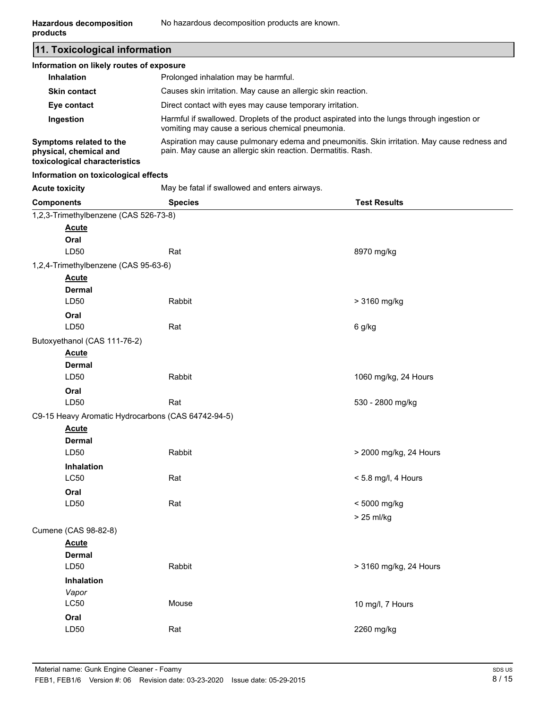**11. Toxicological information Information on likely routes of exposure**

| information on likely routes of exposure                                           |                                                                                                                                                              |
|------------------------------------------------------------------------------------|--------------------------------------------------------------------------------------------------------------------------------------------------------------|
| <b>Inhalation</b>                                                                  | Prolonged inhalation may be harmful.                                                                                                                         |
| <b>Skin contact</b>                                                                | Causes skin irritation. May cause an allergic skin reaction.                                                                                                 |
| Eye contact                                                                        | Direct contact with eyes may cause temporary irritation.                                                                                                     |
| Ingestion                                                                          | Harmful if swallowed. Droplets of the product aspirated into the lungs through ingestion or<br>vomiting may cause a serious chemical pneumonia.              |
| Symptoms related to the<br>physical, chemical and<br>toxicological characteristics | Aspiration may cause pulmonary edema and pneumonitis. Skin irritation. May cause redness and<br>pain. May cause an allergic skin reaction. Dermatitis. Rash. |

#### **Information on toxicological effects**

**Acute toxicity** May be fatal if swallowed and enters airways.

| <b>Components</b>                     | <b>Species</b>                                     | <b>Test Results</b>    |
|---------------------------------------|----------------------------------------------------|------------------------|
| 1,2,3-Trimethylbenzene (CAS 526-73-8) |                                                    |                        |
| <b>Acute</b>                          |                                                    |                        |
| Oral                                  |                                                    |                        |
| LD50                                  | Rat                                                | 8970 mg/kg             |
| 1,2,4-Trimethylbenzene (CAS 95-63-6)  |                                                    |                        |
| <b>Acute</b>                          |                                                    |                        |
| <b>Dermal</b>                         |                                                    |                        |
| LD50                                  | Rabbit                                             | > 3160 mg/kg           |
| Oral                                  |                                                    |                        |
| LD50                                  | Rat                                                | 6 g/kg                 |
| Butoxyethanol (CAS 111-76-2)          |                                                    |                        |
| <b>Acute</b>                          |                                                    |                        |
| <b>Dermal</b>                         |                                                    |                        |
| LD50                                  | Rabbit                                             | 1060 mg/kg, 24 Hours   |
| Oral                                  |                                                    |                        |
| LD50                                  | Rat                                                | 530 - 2800 mg/kg       |
|                                       | C9-15 Heavy Aromatic Hydrocarbons (CAS 64742-94-5) |                        |
| <b>Acute</b>                          |                                                    |                        |
| <b>Dermal</b>                         |                                                    |                        |
| LD50                                  | Rabbit                                             | > 2000 mg/kg, 24 Hours |
| <b>Inhalation</b>                     |                                                    |                        |
| LC50                                  | Rat                                                | < 5.8 mg/l, 4 Hours    |
| Oral                                  |                                                    |                        |
| LD50                                  | Rat                                                | < 5000 mg/kg           |
|                                       |                                                    | > 25 ml/kg             |
| Cumene (CAS 98-82-8)                  |                                                    |                        |
| <b>Acute</b>                          |                                                    |                        |
| <b>Dermal</b>                         |                                                    |                        |
| LD50                                  | Rabbit                                             | > 3160 mg/kg, 24 Hours |
| Inhalation                            |                                                    |                        |
| Vapor                                 |                                                    |                        |
| <b>LC50</b>                           | Mouse                                              | 10 mg/l, 7 Hours       |
| Oral                                  |                                                    |                        |
| LD50                                  | Rat                                                | 2260 mg/kg             |
|                                       |                                                    |                        |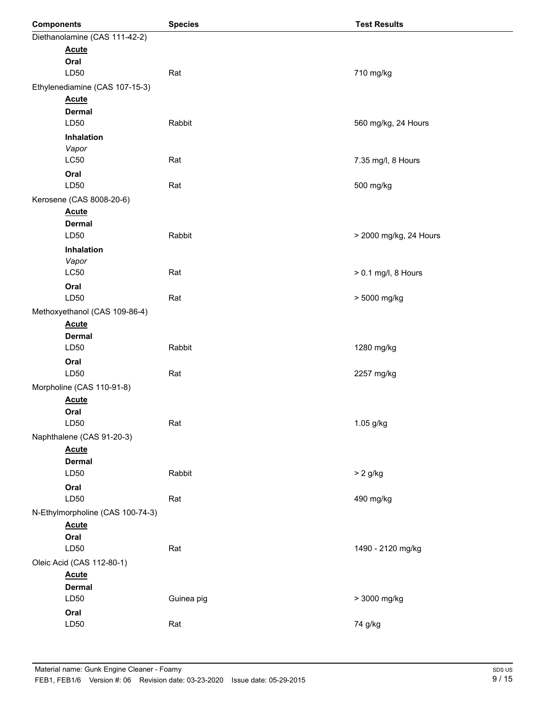| <b>Components</b>                | <b>Species</b> | <b>Test Results</b>    |
|----------------------------------|----------------|------------------------|
| Diethanolamine (CAS 111-42-2)    |                |                        |
| <b>Acute</b>                     |                |                        |
| Oral                             |                |                        |
| LD50                             | Rat            | 710 mg/kg              |
| Ethylenediamine (CAS 107-15-3)   |                |                        |
| <b>Acute</b>                     |                |                        |
| <b>Dermal</b>                    |                |                        |
| LD50                             | Rabbit         | 560 mg/kg, 24 Hours    |
| Inhalation                       |                |                        |
| Vapor<br><b>LC50</b>             | Rat            |                        |
|                                  |                | 7.35 mg/l, 8 Hours     |
| Oral<br>LD50                     | Rat            | 500 mg/kg              |
| Kerosene (CAS 8008-20-6)         |                |                        |
| <b>Acute</b>                     |                |                        |
| <b>Dermal</b>                    |                |                        |
| LD50                             | Rabbit         | > 2000 mg/kg, 24 Hours |
| Inhalation                       |                |                        |
| Vapor                            |                |                        |
| <b>LC50</b>                      | Rat            | > 0.1 mg/l, 8 Hours    |
| Oral                             |                |                        |
| LD50                             | Rat            | > 5000 mg/kg           |
| Methoxyethanol (CAS 109-86-4)    |                |                        |
| <b>Acute</b>                     |                |                        |
| <b>Dermal</b>                    |                |                        |
| LD50                             | Rabbit         | 1280 mg/kg             |
| Oral                             |                |                        |
| LD50                             | Rat            | 2257 mg/kg             |
| Morpholine (CAS 110-91-8)        |                |                        |
| <b>Acute</b>                     |                |                        |
| Oral                             |                |                        |
| LD50                             | Rat            | 1.05 g/kg              |
| Naphthalene (CAS 91-20-3)        |                |                        |
| <b>Acute</b>                     |                |                        |
| <b>Dermal</b>                    |                |                        |
| LD50                             | Rabbit         | $> 2$ g/kg             |
| Oral                             |                |                        |
| LD50                             | Rat            | 490 mg/kg              |
| N-Ethylmorpholine (CAS 100-74-3) |                |                        |
| <b>Acute</b><br>Oral             |                |                        |
| LD50                             | Rat            | 1490 - 2120 mg/kg      |
| Oleic Acid (CAS 112-80-1)        |                |                        |
| <b>Acute</b>                     |                |                        |
| <b>Dermal</b>                    |                |                        |
| LD50                             | Guinea pig     | > 3000 mg/kg           |
| Oral                             |                |                        |
| LD50                             | Rat            | 74 g/kg                |
|                                  |                |                        |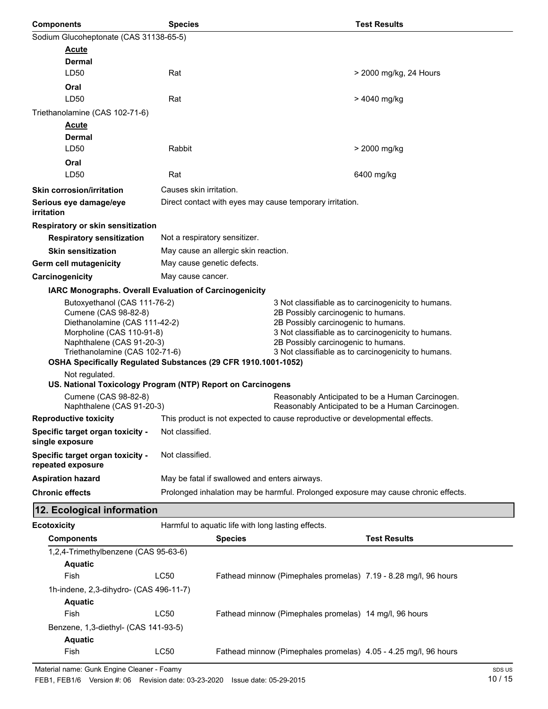| <b>Components</b>                                                                                                  | <b>Species</b>                |                                                    | <b>Test Results</b>                                                                                                                                                                      |  |
|--------------------------------------------------------------------------------------------------------------------|-------------------------------|----------------------------------------------------|------------------------------------------------------------------------------------------------------------------------------------------------------------------------------------------|--|
| Sodium Glucoheptonate (CAS 31138-65-5)                                                                             |                               |                                                    |                                                                                                                                                                                          |  |
| <b>Acute</b>                                                                                                       |                               |                                                    |                                                                                                                                                                                          |  |
| Dermal                                                                                                             |                               |                                                    |                                                                                                                                                                                          |  |
| LD50                                                                                                               | Rat                           |                                                    | > 2000 mg/kg, 24 Hours                                                                                                                                                                   |  |
| Oral                                                                                                               |                               |                                                    |                                                                                                                                                                                          |  |
| LD50                                                                                                               | Rat                           |                                                    | > 4040 mg/kg                                                                                                                                                                             |  |
| Triethanolamine (CAS 102-71-6)                                                                                     |                               |                                                    |                                                                                                                                                                                          |  |
| <b>Acute</b>                                                                                                       |                               |                                                    |                                                                                                                                                                                          |  |
| <b>Dermal</b><br>LD50                                                                                              | Rabbit                        |                                                    |                                                                                                                                                                                          |  |
|                                                                                                                    |                               |                                                    | > 2000 mg/kg                                                                                                                                                                             |  |
| Oral<br>LD50                                                                                                       | Rat                           |                                                    | 6400 mg/kg                                                                                                                                                                               |  |
|                                                                                                                    |                               |                                                    |                                                                                                                                                                                          |  |
| <b>Skin corrosion/irritation</b>                                                                                   | Causes skin irritation.       |                                                    |                                                                                                                                                                                          |  |
| Serious eye damage/eye<br>irritation                                                                               |                               |                                                    | Direct contact with eyes may cause temporary irritation.                                                                                                                                 |  |
| Respiratory or skin sensitization                                                                                  |                               |                                                    |                                                                                                                                                                                          |  |
| <b>Respiratory sensitization</b>                                                                                   | Not a respiratory sensitizer. |                                                    |                                                                                                                                                                                          |  |
| <b>Skin sensitization</b>                                                                                          |                               | May cause an allergic skin reaction.               |                                                                                                                                                                                          |  |
| <b>Germ cell mutagenicity</b>                                                                                      | May cause genetic defects.    |                                                    |                                                                                                                                                                                          |  |
| Carcinogenicity                                                                                                    | May cause cancer.             |                                                    |                                                                                                                                                                                          |  |
| IARC Monographs. Overall Evaluation of Carcinogenicity                                                             |                               |                                                    |                                                                                                                                                                                          |  |
| Butoxyethanol (CAS 111-76-2)<br>Cumene (CAS 98-82-8)<br>Diethanolamine (CAS 111-42-2)<br>Morpholine (CAS 110-91-8) |                               |                                                    | 3 Not classifiable as to carcinogenicity to humans.<br>2B Possibly carcinogenic to humans.<br>2B Possibly carcinogenic to humans.<br>3 Not classifiable as to carcinogenicity to humans. |  |
| Naphthalene (CAS 91-20-3)<br>Triethanolamine (CAS 102-71-6)                                                        |                               |                                                    | 2B Possibly carcinogenic to humans.<br>3 Not classifiable as to carcinogenicity to humans.                                                                                               |  |
| OSHA Specifically Regulated Substances (29 CFR 1910.1001-1052)                                                     |                               |                                                    |                                                                                                                                                                                          |  |
| Not regulated.                                                                                                     |                               |                                                    |                                                                                                                                                                                          |  |
| US. National Toxicology Program (NTP) Report on Carcinogens                                                        |                               |                                                    |                                                                                                                                                                                          |  |
| Cumene (CAS 98-82-8)<br>Naphthalene (CAS 91-20-3)                                                                  |                               |                                                    | Reasonably Anticipated to be a Human Carcinogen.<br>Reasonably Anticipated to be a Human Carcinogen.                                                                                     |  |
| <b>Reproductive toxicity</b>                                                                                       |                               |                                                    | This product is not expected to cause reproductive or developmental effects.                                                                                                             |  |
| Specific target organ toxicity -<br>single exposure                                                                | Not classified.               |                                                    |                                                                                                                                                                                          |  |
| Specific target organ toxicity -<br>repeated exposure                                                              | Not classified.               |                                                    |                                                                                                                                                                                          |  |
| <b>Aspiration hazard</b>                                                                                           |                               | May be fatal if swallowed and enters airways.      |                                                                                                                                                                                          |  |
| <b>Chronic effects</b>                                                                                             |                               |                                                    | Prolonged inhalation may be harmful. Prolonged exposure may cause chronic effects.                                                                                                       |  |
| 12. Ecological information                                                                                         |                               |                                                    |                                                                                                                                                                                          |  |
| <b>Ecotoxicity</b>                                                                                                 |                               | Harmful to aquatic life with long lasting effects. |                                                                                                                                                                                          |  |
| <b>Components</b>                                                                                                  |                               | <b>Species</b>                                     | <b>Test Results</b>                                                                                                                                                                      |  |
| 1,2,4-Trimethylbenzene (CAS 95-63-6)                                                                               |                               |                                                    |                                                                                                                                                                                          |  |
| <b>Aquatic</b>                                                                                                     |                               |                                                    |                                                                                                                                                                                          |  |
| Fish                                                                                                               | LC50                          |                                                    | Fathead minnow (Pimephales promelas) 7.19 - 8.28 mg/l, 96 hours                                                                                                                          |  |
| 1h-indene, 2,3-dihydro- (CAS 496-11-7)                                                                             |                               |                                                    |                                                                                                                                                                                          |  |
| <b>Aquatic</b>                                                                                                     |                               |                                                    |                                                                                                                                                                                          |  |
| Fish                                                                                                               | LC50                          |                                                    | Fathead minnow (Pimephales promelas) 14 mg/l, 96 hours                                                                                                                                   |  |

Fish LC50 Fathead minnow (Pimephales promelas) 4.05 - 4.25 mg/l, 96 hours

Benzene, 1,3-diethyl- (CAS 141-93-5)

**Aquatic**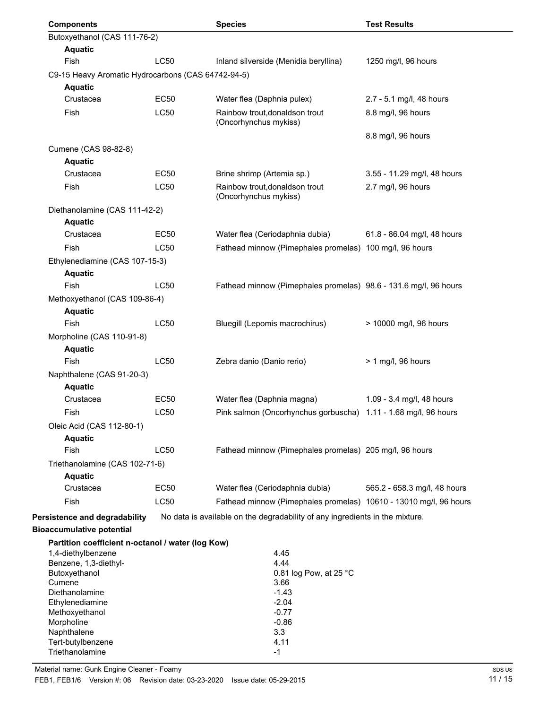| <b>Components</b>                                  |             | <b>Species</b>                                                               | <b>Test Results</b>          |
|----------------------------------------------------|-------------|------------------------------------------------------------------------------|------------------------------|
| Butoxyethanol (CAS 111-76-2)                       |             |                                                                              |                              |
| <b>Aquatic</b>                                     |             |                                                                              |                              |
| Fish                                               | LC50        | Inland silverside (Menidia beryllina)                                        | 1250 mg/l, 96 hours          |
| C9-15 Heavy Aromatic Hydrocarbons (CAS 64742-94-5) |             |                                                                              |                              |
| <b>Aquatic</b>                                     |             |                                                                              |                              |
| Crustacea                                          | <b>EC50</b> | Water flea (Daphnia pulex)                                                   | 2.7 - 5.1 mg/l, 48 hours     |
| Fish                                               | <b>LC50</b> | Rainbow trout, donaldson trout<br>(Oncorhynchus mykiss)                      | 8.8 mg/l, 96 hours           |
| Cumene (CAS 98-82-8)                               |             |                                                                              | 8.8 mg/l, 96 hours           |
| <b>Aquatic</b>                                     |             |                                                                              |                              |
| Crustacea                                          | EC50        | Brine shrimp (Artemia sp.)                                                   | 3.55 - 11.29 mg/l, 48 hours  |
| Fish                                               | LC50        | Rainbow trout, donaldson trout<br>(Oncorhynchus mykiss)                      | 2.7 mg/l, 96 hours           |
| Diethanolamine (CAS 111-42-2)                      |             |                                                                              |                              |
| <b>Aquatic</b>                                     |             |                                                                              |                              |
| Crustacea                                          | <b>EC50</b> | Water flea (Ceriodaphnia dubia)                                              | 61.8 - 86.04 mg/l, 48 hours  |
| <b>Fish</b>                                        | <b>LC50</b> | Fathead minnow (Pimephales promelas) 100 mg/l, 96 hours                      |                              |
| Ethylenediamine (CAS 107-15-3)<br><b>Aquatic</b>   |             |                                                                              |                              |
| <b>Fish</b>                                        | <b>LC50</b> | Fathead minnow (Pimephales promelas) 98.6 - 131.6 mg/l, 96 hours             |                              |
| Methoxyethanol (CAS 109-86-4)                      |             |                                                                              |                              |
| <b>Aquatic</b>                                     |             |                                                                              |                              |
| Fish                                               | <b>LC50</b> | Bluegill (Lepomis macrochirus)                                               | > 10000 mg/l, 96 hours       |
| Morpholine (CAS 110-91-8)                          |             |                                                                              |                              |
| <b>Aquatic</b><br>Fish                             | LC50        |                                                                              |                              |
|                                                    |             | Zebra danio (Danio rerio)                                                    | $> 1$ mg/l, 96 hours         |
| Naphthalene (CAS 91-20-3)<br><b>Aquatic</b>        |             |                                                                              |                              |
| Crustacea                                          | <b>EC50</b> | Water flea (Daphnia magna)                                                   | 1.09 - 3.4 mg/l, 48 hours    |
| Fish                                               | LC50        | Pink salmon (Oncorhynchus gorbuscha)                                         | 1.11 - 1.68 mg/l, 96 hours   |
| Oleic Acid (CAS 112-80-1)                          |             |                                                                              |                              |
| <b>Aquatic</b>                                     |             |                                                                              |                              |
| <b>Fish</b>                                        | LC50        | Fathead minnow (Pimephales promelas) 205 mg/l, 96 hours                      |                              |
| Triethanolamine (CAS 102-71-6)                     |             |                                                                              |                              |
| <b>Aquatic</b>                                     |             |                                                                              |                              |
| Crustacea                                          | <b>EC50</b> | Water flea (Ceriodaphnia dubia)                                              | 565.2 - 658.3 mg/l, 48 hours |
| Fish                                               | LC50        | Fathead minnow (Pimephales promelas) 10610 - 13010 mg/l, 96 hours            |                              |
| Persistence and degradability                      |             | No data is available on the degradability of any ingredients in the mixture. |                              |
| <b>Bioaccumulative potential</b>                   |             |                                                                              |                              |
| Partition coefficient n-octanol / water (log Kow)  |             |                                                                              |                              |
| 1,4-diethylbenzene                                 |             | 4.45                                                                         |                              |
| Benzene, 1,3-diethyl-                              |             | 4.44                                                                         |                              |
| Butoxyethanol                                      |             | 0.81 log Pow, at 25 °C                                                       |                              |
| Cumene<br>Diethanolamine                           |             | 3.66<br>$-1.43$                                                              |                              |
| Ethylenediamine                                    |             | $-2.04$                                                                      |                              |
| Methoxyethanol                                     |             | $-0.77$                                                                      |                              |
| Morpholine                                         |             | $-0.86$                                                                      |                              |
| Naphthalene                                        |             | 3.3                                                                          |                              |
| Tert-butylbenzene<br>Triethanolamine               |             | 4.11                                                                         |                              |
|                                                    |             | $-1$                                                                         |                              |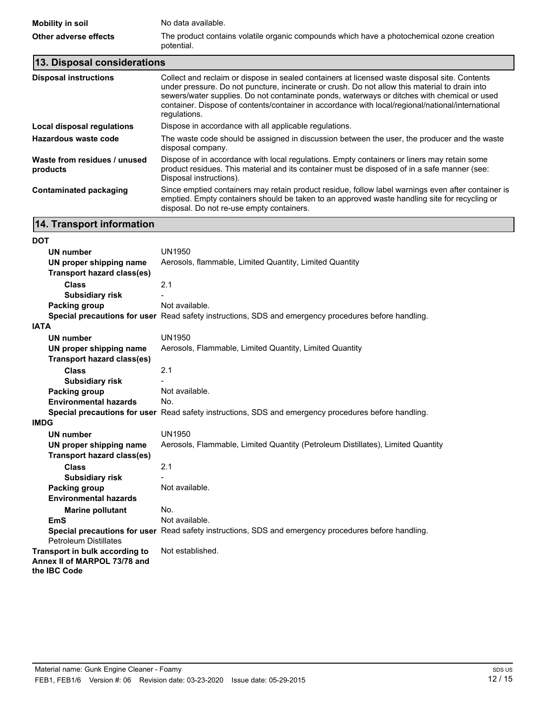| Mobility in soil      | No data available.                                                                                      |
|-----------------------|---------------------------------------------------------------------------------------------------------|
| Other adverse effects | The product contains volatile organic compounds which have a photochemical ozone creation<br>potential. |

| 13. Disposal considerations              |                                                                                                                                                                                                                                                                                                                                                                                                                     |
|------------------------------------------|---------------------------------------------------------------------------------------------------------------------------------------------------------------------------------------------------------------------------------------------------------------------------------------------------------------------------------------------------------------------------------------------------------------------|
| <b>Disposal instructions</b>             | Collect and reclaim or dispose in sealed containers at licensed waste disposal site. Contents<br>under pressure. Do not puncture, incinerate or crush. Do not allow this material to drain into<br>sewers/water supplies. Do not contaminate ponds, waterways or ditches with chemical or used<br>container. Dispose of contents/container in accordance with local/regional/national/international<br>requlations. |
| Local disposal regulations               | Dispose in accordance with all applicable regulations.                                                                                                                                                                                                                                                                                                                                                              |
| Hazardous waste code                     | The waste code should be assigned in discussion between the user, the producer and the waste<br>disposal company.                                                                                                                                                                                                                                                                                                   |
| Waste from residues / unused<br>products | Dispose of in accordance with local regulations. Empty containers or liners may retain some<br>product residues. This material and its container must be disposed of in a safe manner (see:<br>Disposal instructions).                                                                                                                                                                                              |
| <b>Contaminated packaging</b>            | Since emptied containers may retain product residue, follow label warnings even after container is<br>emptied. Empty containers should be taken to an approved waste handling site for recycling or<br>disposal. Do not re-use empty containers.                                                                                                                                                                    |

# **14. Transport information**

| <b>DOT</b>                        |                                                                                                      |
|-----------------------------------|------------------------------------------------------------------------------------------------------|
| <b>UN number</b>                  | <b>UN1950</b>                                                                                        |
| UN proper shipping name           | Aerosols, flammable, Limited Quantity, Limited Quantity                                              |
| <b>Transport hazard class(es)</b> |                                                                                                      |
| <b>Class</b>                      | 2.1                                                                                                  |
| <b>Subsidiary risk</b>            |                                                                                                      |
| <b>Packing group</b>              | Not available.                                                                                       |
|                                   | Special precautions for user Read safety instructions, SDS and emergency procedures before handling. |
| <b>IATA</b>                       |                                                                                                      |
| <b>UN number</b>                  | <b>UN1950</b>                                                                                        |
| UN proper shipping name           | Aerosols, Flammable, Limited Quantity, Limited Quantity                                              |
| <b>Transport hazard class(es)</b> |                                                                                                      |
| <b>Class</b>                      | 2.1                                                                                                  |
| <b>Subsidiary risk</b>            |                                                                                                      |
| <b>Packing group</b>              | Not available.                                                                                       |
| <b>Environmental hazards</b>      | No.                                                                                                  |
|                                   | Special precautions for user Read safety instructions, SDS and emergency procedures before handling. |
| <b>IMDG</b>                       |                                                                                                      |
| <b>UN number</b>                  | <b>UN1950</b>                                                                                        |
| UN proper shipping name           | Aerosols, Flammable, Limited Quantity (Petroleum Distillates), Limited Quantity                      |
| Transport hazard class(es)        |                                                                                                      |
| <b>Class</b>                      | 2.1                                                                                                  |
| <b>Subsidiary risk</b>            |                                                                                                      |
| <b>Packing group</b>              | Not available.                                                                                       |
| <b>Environmental hazards</b>      |                                                                                                      |
| <b>Marine pollutant</b>           | No.                                                                                                  |
| <b>EmS</b>                        | Not available.                                                                                       |
|                                   | Special precautions for user Read safety instructions, SDS and emergency procedures before handling. |
| <b>Petroleum Distillates</b>      |                                                                                                      |
| Transport in bulk according to    | Not established.                                                                                     |
| Annex II of MARPOL 73/78 and      |                                                                                                      |
| the IBC Code                      |                                                                                                      |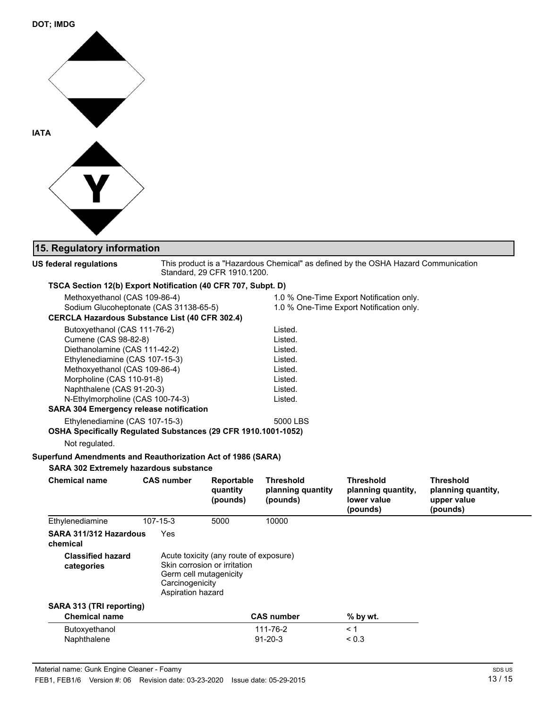

# **15. Regulatory information**

| US federal regulations                                                                                                                                                                                                                                                                                   |                                                                | Standard, 29 CFR 1910.1200.                                            |                                                                                      | This product is a "Hazardous Chemical" as defined by the OSHA Hazard Communication   |                                                                   |
|----------------------------------------------------------------------------------------------------------------------------------------------------------------------------------------------------------------------------------------------------------------------------------------------------------|----------------------------------------------------------------|------------------------------------------------------------------------|--------------------------------------------------------------------------------------|--------------------------------------------------------------------------------------|-------------------------------------------------------------------|
| TSCA Section 12(b) Export Notification (40 CFR 707, Subpt. D)                                                                                                                                                                                                                                            |                                                                |                                                                        |                                                                                      |                                                                                      |                                                                   |
| Methoxyethanol (CAS 109-86-4)<br>Sodium Glucoheptonate (CAS 31138-65-5)<br><b>CERCLA Hazardous Substance List (40 CFR 302.4)</b>                                                                                                                                                                         |                                                                |                                                                        |                                                                                      | 1.0 % One-Time Export Notification only.<br>1.0 % One-Time Export Notification only. |                                                                   |
| Butoxyethanol (CAS 111-76-2)<br>Cumene (CAS 98-82-8)<br>Diethanolamine (CAS 111-42-2)<br>Ethylenediamine (CAS 107-15-3)<br>Methoxyethanol (CAS 109-86-4)<br>Morpholine (CAS 110-91-8)<br>Naphthalene (CAS 91-20-3)<br>N-Ethylmorpholine (CAS 100-74-3)<br><b>SARA 304 Emergency release notification</b> |                                                                |                                                                        | Listed.<br>Listed.<br>Listed.<br>Listed.<br>Listed.<br>Listed.<br>Listed.<br>Listed. |                                                                                      |                                                                   |
| Ethylenediamine (CAS 107-15-3)<br>OSHA Specifically Regulated Substances (29 CFR 1910.1001-1052)                                                                                                                                                                                                         |                                                                |                                                                        | 5000 LBS                                                                             |                                                                                      |                                                                   |
| Not regulated.<br>Superfund Amendments and Reauthorization Act of 1986 (SARA)                                                                                                                                                                                                                            |                                                                |                                                                        |                                                                                      |                                                                                      |                                                                   |
| SARA 302 Extremely hazardous substance<br><b>Chemical name</b>                                                                                                                                                                                                                                           | <b>CAS number</b>                                              | Reportable<br>quantity<br>(pounds)                                     | <b>Threshold</b><br>planning quantity<br>(pounds)                                    | <b>Threshold</b><br>planning quantity,<br>lower value<br>(pounds)                    | <b>Threshold</b><br>planning quantity,<br>upper value<br>(pounds) |
| Ethylenediamine                                                                                                                                                                                                                                                                                          | 107-15-3                                                       | 5000                                                                   | 10000                                                                                |                                                                                      |                                                                   |
| SARA 311/312 Hazardous<br>chemical                                                                                                                                                                                                                                                                       | Yes                                                            |                                                                        |                                                                                      |                                                                                      |                                                                   |
| <b>Classified hazard</b><br>categories                                                                                                                                                                                                                                                                   | Germ cell mutagenicity<br>Carcinogenicity<br>Aspiration hazard | Acute toxicity (any route of exposure)<br>Skin corrosion or irritation |                                                                                      |                                                                                      |                                                                   |
| SARA 313 (TRI reporting)                                                                                                                                                                                                                                                                                 |                                                                |                                                                        |                                                                                      |                                                                                      |                                                                   |
| <b>Chemical name</b>                                                                                                                                                                                                                                                                                     |                                                                |                                                                        | <b>CAS number</b>                                                                    | % by wt.                                                                             |                                                                   |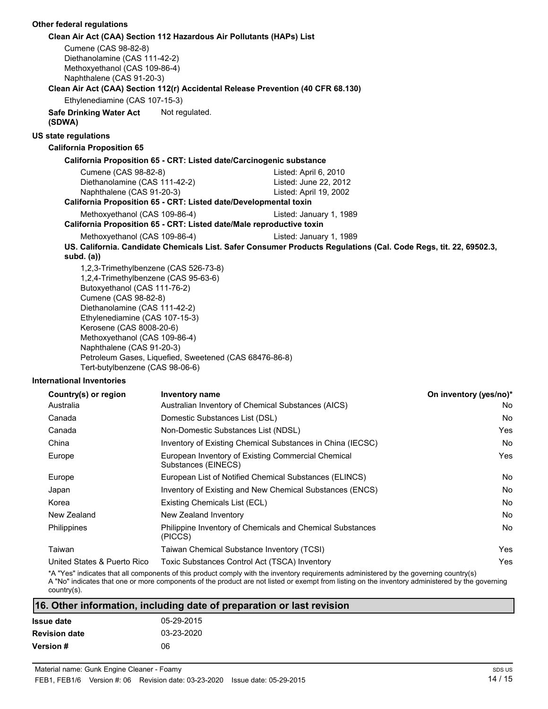#### **Other federal regulations Clean Air Act (CAA) Section 112 Hazardous Air Pollutants (HAPs) List** Cumene (CAS 98-82-8) Diethanolamine (CAS 111-42-2) Methoxyethanol (CAS 109-86-4) Naphthalene (CAS 91-20-3) **Clean Air Act (CAA) Section 112(r) Accidental Release Prevention (40 CFR 68.130)** Ethylenediamine (CAS 107-15-3) **Safe Drinking Water Act** Not regulated. **(SDWA) US state regulations California Proposition 65 California Proposition 65 - CRT: Listed date/Carcinogenic substance** Cumene (CAS 98-82-8) Listed: April 6, 2010 Diethanolamine (CAS 111-42-2) Listed: June 22, 2012 Naphthalene (CAS 91-20-3) Listed: April 19, 2002 **California Proposition 65 - CRT: Listed date/Developmental toxin** Methoxyethanol (CAS 109-86-4) Listed: January 1, 1989 **California Proposition 65 - CRT: Listed date/Male reproductive toxin** Methoxyethanol (CAS 109-86-4) Listed: January 1, 1989 **US. California. Candidate Chemicals List. Safer Consumer Products Regulations (Cal. Code Regs, tit. 22, 69502.3, subd. (a))** 1,2,3-Trimethylbenzene (CAS 526-73-8) 1,2,4-Trimethylbenzene (CAS 95-63-6) Butoxyethanol (CAS 111-76-2) Cumene (CAS 98-82-8) Diethanolamine (CAS 111-42-2) Ethylenediamine (CAS 107-15-3) Kerosene (CAS 8008-20-6) Methoxyethanol (CAS 109-86-4) Naphthalene (CAS 91-20-3)

#### **International Inventories**

| Country(s) or region        | <b>Inventory name</b>                                                       | On inventory (yes/no)* |
|-----------------------------|-----------------------------------------------------------------------------|------------------------|
| Australia                   | Australian Inventory of Chemical Substances (AICS)                          | No.                    |
| Canada                      | Domestic Substances List (DSL)                                              | No.                    |
| Canada                      | Non-Domestic Substances List (NDSL)                                         | Yes                    |
| China                       | Inventory of Existing Chemical Substances in China (IECSC)                  | No.                    |
| Europe                      | European Inventory of Existing Commercial Chemical<br>Substances (EINECS)   | Yes.                   |
| Europe                      | European List of Notified Chemical Substances (ELINCS)                      | No.                    |
| Japan                       | Inventory of Existing and New Chemical Substances (ENCS)                    | No.                    |
| Korea                       | Existing Chemicals List (ECL)                                               | No.                    |
| New Zealand                 | New Zealand Inventory                                                       | No.                    |
| Philippines                 | <b>Philippine Inventory of Chemicals and Chemical Substances</b><br>(PICCS) | No.                    |
| Taiwan                      | Taiwan Chemical Substance Inventory (TCSI)                                  | Yes                    |
| United States & Puerto Rico | Toxic Substances Control Act (TSCA) Inventory                               | Yes.                   |

\*A "Yes" indicates that all components of this product comply with the inventory requirements administered by the governing country(s) A "No" indicates that one or more components of the product are not listed or exempt from listing on the inventory administered by the governing country(s).

| 16. Other information, including date of preparation or last revision |            |  |  |
|-----------------------------------------------------------------------|------------|--|--|
| Issue date                                                            | 05-29-2015 |  |  |
| <b>Revision date</b>                                                  | 03-23-2020 |  |  |

**Version #** 06

Petroleum Gases, Liquefied, Sweetened (CAS 68476-86-8)

Tert-butylbenzene (CAS 98-06-6)